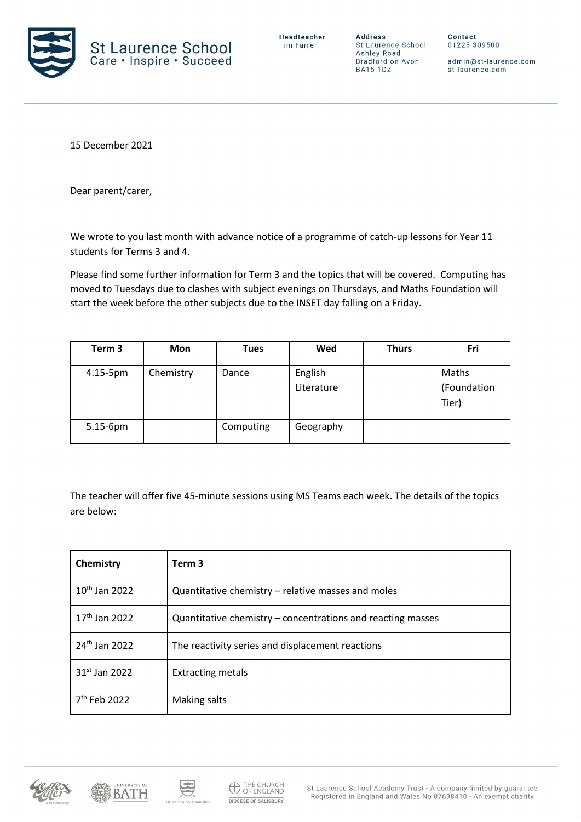

**Address** St Laurence School Ashley Road Bradford on Avon **BA15 1DZ** 

Contact 01225 309500

admin@st-laurence.com st-laurence.com

15 December 2021

Dear parent/carer,

We wrote to you last month with advance notice of a programme of catch-up lessons for Year 11 students for Terms 3 and 4.

Please find some further information for Term 3 and the topics that will be covered. Computing has moved to Tuesdays due to clashes with subject evenings on Thursdays, and Maths Foundation will start the week before the other subjects due to the INSET day falling on a Friday.

| Term <sub>3</sub> | <b>Mon</b> | <b>Tues</b> | Wed                   | <b>Thurs</b> | Fri                           |
|-------------------|------------|-------------|-----------------------|--------------|-------------------------------|
| 4.15-5pm          | Chemistry  | Dance       | English<br>Literature |              | Maths<br>(Foundation<br>Tier) |
| $5.15-6$ pm       |            | Computing   | Geography             |              |                               |

The teacher will offer five 45-minute sessions using MS Teams each week. The details of the topics are below:

| Chemistry                 | Term <sub>3</sub>                                           |
|---------------------------|-------------------------------------------------------------|
| $10th$ Jan 2022           | Quantitative chemistry – relative masses and moles          |
| $17th$ Jan 2022           | Quantitative chemistry – concentrations and reacting masses |
| 24 <sup>th</sup> Jan 2022 | The reactivity series and displacement reactions            |
| 31 <sup>st</sup> Jan 2022 | <b>Extracting metals</b>                                    |
| $7th$ Feb 2022            | Making salts                                                |





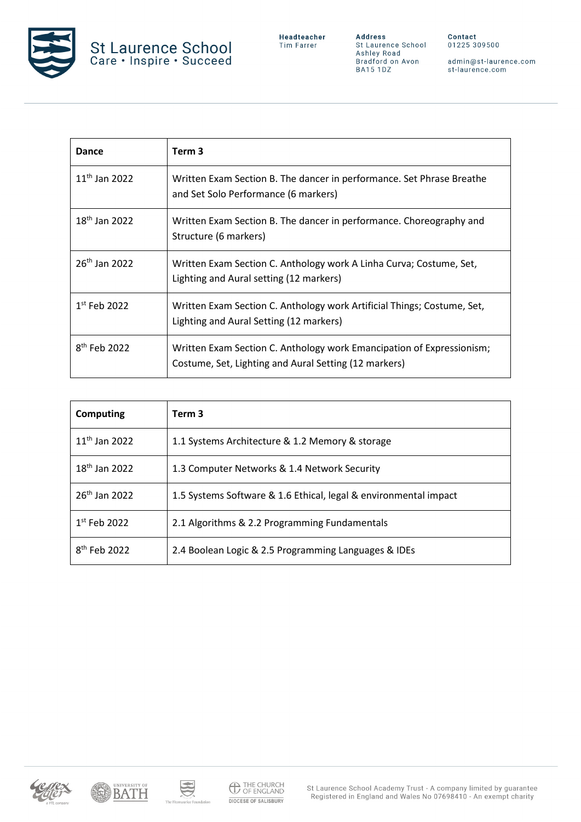

admin@st-laurence.com<br>st-laurence.com

| Dance                     | Term 3                                                                                                                         |
|---------------------------|--------------------------------------------------------------------------------------------------------------------------------|
| $11^{th}$ Jan 2022        | Written Exam Section B. The dancer in performance. Set Phrase Breathe<br>and Set Solo Performance (6 markers)                  |
| $18th$ Jan 2022           | Written Exam Section B. The dancer in performance. Choreography and<br>Structure (6 markers)                                   |
| 26 <sup>th</sup> Jan 2022 | Written Exam Section C. Anthology work A Linha Curva; Costume, Set,<br>Lighting and Aural setting (12 markers)                 |
| $1st$ Feb 2022            | Written Exam Section C. Anthology work Artificial Things; Costume, Set,<br>Lighting and Aural Setting (12 markers)             |
| $8th$ Feb 2022            | Written Exam Section C. Anthology work Emancipation of Expressionism;<br>Costume, Set, Lighting and Aural Setting (12 markers) |

| Computing                | Term <sub>3</sub>                                                |
|--------------------------|------------------------------------------------------------------|
| $11^{th}$ Jan 2022       | 1.1 Systems Architecture & 1.2 Memory & storage                  |
| $18th$ Jan 2022          | 1.3 Computer Networks & 1.4 Network Security                     |
| $26^{th}$ Jan 2022       | 1.5 Systems Software & 1.6 Ethical, legal & environmental impact |
| $1st$ Feb 2022           | 2.1 Algorithms & 2.2 Programming Fundamentals                    |
| 8 <sup>th</sup> Feb 2022 | 2.4 Boolean Logic & 2.5 Programming Languages & IDEs             |





S

mi<sub>no</sub> mi

naurice Foundation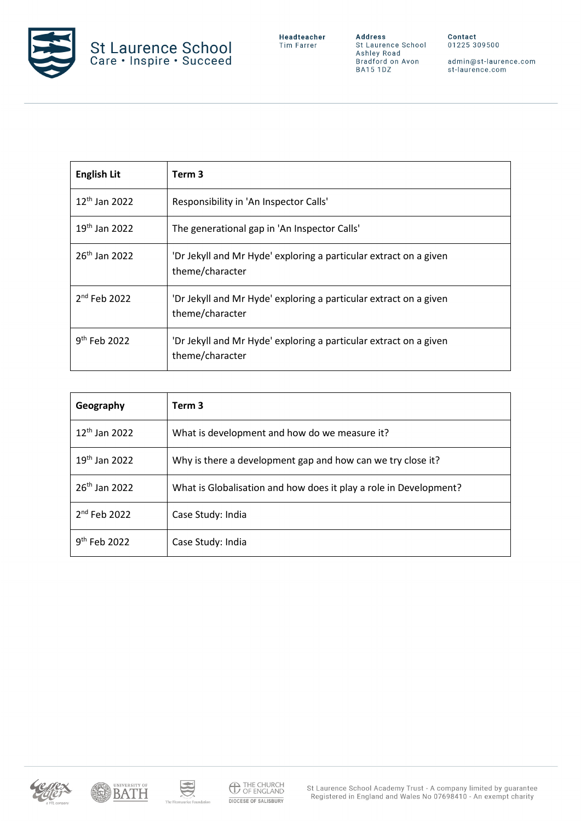

**Address**<br>St Laurence School<br>Ashley Road<br>Bradford on Avon<br>BA15 1DZ

admin@st-laurence.com<br>st-laurence.com

| <b>English Lit</b>        | Term <sub>3</sub>                                                                    |
|---------------------------|--------------------------------------------------------------------------------------|
| $12^{th}$ Jan 2022        | Responsibility in 'An Inspector Calls'                                               |
| $19^{th}$ Jan 2022        | The generational gap in 'An Inspector Calls'                                         |
| 26 <sup>th</sup> Jan 2022 | 'Dr Jekyll and Mr Hyde' exploring a particular extract on a given<br>theme/character |
| $2nd$ Feb 2022            | 'Dr Jekyll and Mr Hyde' exploring a particular extract on a given<br>theme/character |
| $9th$ Feb 2022            | 'Dr Jekyll and Mr Hyde' exploring a particular extract on a given<br>theme/character |

| Geography                 | Term <sub>3</sub>                                                 |
|---------------------------|-------------------------------------------------------------------|
| 12 <sup>th</sup> Jan 2022 | What is development and how do we measure it?                     |
| $19th$ Jan 2022           | Why is there a development gap and how can we try close it?       |
| 26 <sup>th</sup> Jan 2022 | What is Globalisation and how does it play a role in Development? |
| 2 <sup>nd</sup> Feb 2022  | Case Study: India                                                 |
| $9th$ Feb 2022            | Case Study: India                                                 |





S

The Fi